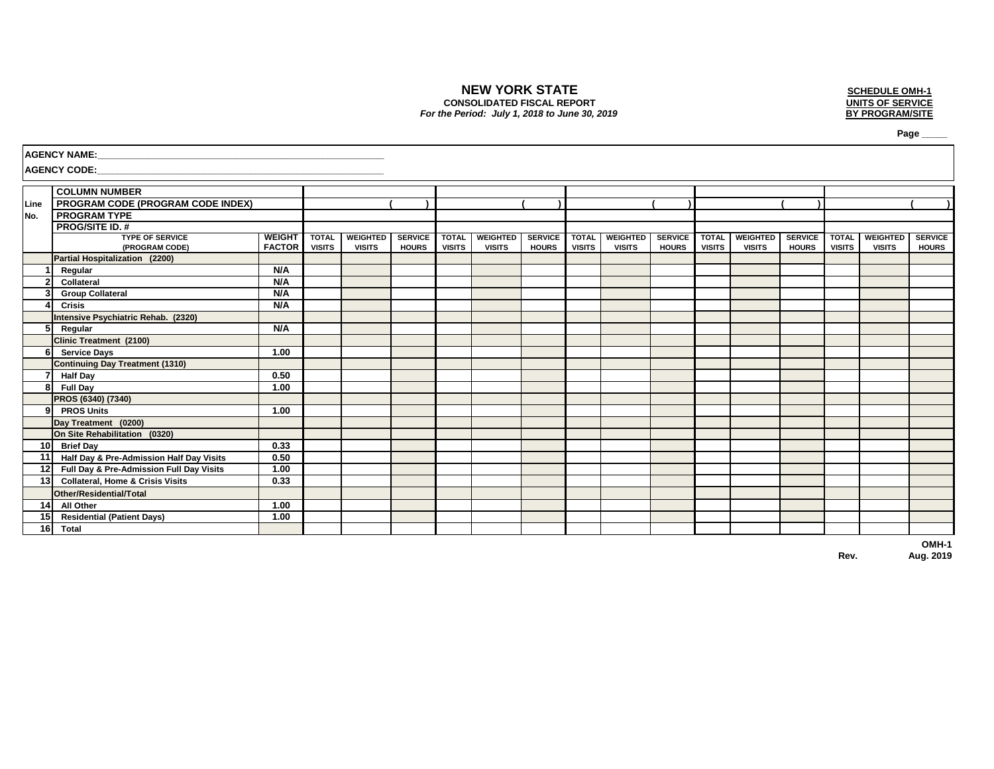# **NEW YORK STATE CONSOLIDATED FISCAL REPORT**

# *For the Period: July 1, 2018 to June 30, 2019*



 **Page \_\_\_\_\_**

|                 | <b>AGENCY NAME:</b>                         |                                |                               |                                  |                                |                               |                                  |                                |                               |                                  |                                |                               |                                  |                                |                               |                                  |                                |
|-----------------|---------------------------------------------|--------------------------------|-------------------------------|----------------------------------|--------------------------------|-------------------------------|----------------------------------|--------------------------------|-------------------------------|----------------------------------|--------------------------------|-------------------------------|----------------------------------|--------------------------------|-------------------------------|----------------------------------|--------------------------------|
|                 | <b>AGENCY CODE:</b>                         |                                |                               |                                  |                                |                               |                                  |                                |                               |                                  |                                |                               |                                  |                                |                               |                                  |                                |
|                 | <b>COLUMN NUMBER</b>                        |                                |                               |                                  |                                |                               |                                  |                                |                               |                                  |                                |                               |                                  |                                |                               |                                  |                                |
| Line            | <b>PROGRAM CODE (PROGRAM CODE INDEX)</b>    |                                |                               |                                  |                                |                               |                                  |                                |                               |                                  |                                |                               |                                  |                                |                               |                                  |                                |
| No.             | <b>PROGRAM TYPE</b>                         |                                |                               |                                  |                                |                               |                                  |                                |                               |                                  |                                |                               |                                  |                                |                               |                                  |                                |
|                 | <b>PROG/SITE ID. #</b>                      |                                |                               |                                  |                                |                               |                                  |                                |                               |                                  |                                |                               |                                  |                                |                               |                                  |                                |
|                 | <b>TYPE OF SERVICE</b><br>(PROGRAM CODE)    | <b>WEIGHT</b><br><b>FACTOR</b> | <b>TOTAL</b><br><b>VISITS</b> | <b>WEIGHTED</b><br><b>VISITS</b> | <b>SERVICE</b><br><b>HOURS</b> | <b>TOTAL</b><br><b>VISITS</b> | <b>WEIGHTED</b><br><b>VISITS</b> | <b>SERVICE</b><br><b>HOURS</b> | <b>TOTAL</b><br><b>VISITS</b> | <b>WEIGHTED</b><br><b>VISITS</b> | <b>SERVICE</b><br><b>HOURS</b> | <b>TOTAL</b><br><b>VISITS</b> | <b>WEIGHTED</b><br><b>VISITS</b> | <b>SERVICE</b><br><b>HOURS</b> | <b>TOTAL</b><br><b>VISITS</b> | <b>WEIGHTED</b><br><b>VISITS</b> | <b>SERVICE</b><br><b>HOURS</b> |
|                 | Partial Hospitalization (2200)              |                                |                               |                                  |                                |                               |                                  |                                |                               |                                  |                                |                               |                                  |                                |                               |                                  |                                |
|                 | Regular                                     | N/A                            |                               |                                  |                                |                               |                                  |                                |                               |                                  |                                |                               |                                  |                                |                               |                                  |                                |
|                 | <b>Collateral</b>                           | N/A                            |                               |                                  |                                |                               |                                  |                                |                               |                                  |                                |                               |                                  |                                |                               |                                  |                                |
|                 | <b>Group Collateral</b>                     | N/A                            |                               |                                  |                                |                               |                                  |                                |                               |                                  |                                |                               |                                  |                                |                               |                                  |                                |
|                 | <b>Crisis</b>                               | N/A                            |                               |                                  |                                |                               |                                  |                                |                               |                                  |                                |                               |                                  |                                |                               |                                  |                                |
|                 | Intensive Psychiatric Rehab. (2320)         |                                |                               |                                  |                                |                               |                                  |                                |                               |                                  |                                |                               |                                  |                                |                               |                                  |                                |
| 5               | Regular                                     | N/A                            |                               |                                  |                                |                               |                                  |                                |                               |                                  |                                |                               |                                  |                                |                               |                                  |                                |
|                 | <b>Clinic Treatment (2100)</b>              |                                |                               |                                  |                                |                               |                                  |                                |                               |                                  |                                |                               |                                  |                                |                               |                                  |                                |
| 6               | <b>Service Days</b>                         | 1.00                           |                               |                                  |                                |                               |                                  |                                |                               |                                  |                                |                               |                                  |                                |                               |                                  |                                |
|                 | <b>Continuing Day Treatment (1310)</b>      |                                |                               |                                  |                                |                               |                                  |                                |                               |                                  |                                |                               |                                  |                                |                               |                                  |                                |
|                 | <b>Half Day</b>                             | 0.50                           |                               |                                  |                                |                               |                                  |                                |                               |                                  |                                |                               |                                  |                                |                               |                                  |                                |
| 8               | <b>Full Day</b>                             | 1.00                           |                               |                                  |                                |                               |                                  |                                |                               |                                  |                                |                               |                                  |                                |                               |                                  |                                |
|                 | PROS (6340) (7340)                          |                                |                               |                                  |                                |                               |                                  |                                |                               |                                  |                                |                               |                                  |                                |                               |                                  |                                |
| 91              | <b>PROS Units</b>                           | 1.00                           |                               |                                  |                                |                               |                                  |                                |                               |                                  |                                |                               |                                  |                                |                               |                                  |                                |
|                 | Day Treatment (0200)                        |                                |                               |                                  |                                |                               |                                  |                                |                               |                                  |                                |                               |                                  |                                |                               |                                  |                                |
|                 | On Site Rehabilitation (0320)               |                                |                               |                                  |                                |                               |                                  |                                |                               |                                  |                                |                               |                                  |                                |                               |                                  |                                |
| 10 <sup>1</sup> | <b>Brief Day</b>                            | 0.33                           |                               |                                  |                                |                               |                                  |                                |                               |                                  |                                |                               |                                  |                                |                               |                                  |                                |
| 11              | Half Day & Pre-Admission Half Day Visits    | 0.50                           |                               |                                  |                                |                               |                                  |                                |                               |                                  |                                |                               |                                  |                                |                               |                                  |                                |
| 12              | Full Day & Pre-Admission Full Day Visits    | 1.00                           |                               |                                  |                                |                               |                                  |                                |                               |                                  |                                |                               |                                  |                                |                               |                                  |                                |
| 13              | <b>Collateral, Home &amp; Crisis Visits</b> | 0.33                           |                               |                                  |                                |                               |                                  |                                |                               |                                  |                                |                               |                                  |                                |                               |                                  |                                |
|                 | Other/Residential/Total                     |                                |                               |                                  |                                |                               |                                  |                                |                               |                                  |                                |                               |                                  |                                |                               |                                  |                                |
| 14              | <b>All Other</b>                            | 1.00                           |                               |                                  |                                |                               |                                  |                                |                               |                                  |                                |                               |                                  |                                |                               |                                  |                                |
| 15              | <b>Residential (Patient Days)</b>           | 1.00                           |                               |                                  |                                |                               |                                  |                                |                               |                                  |                                |                               |                                  |                                |                               |                                  |                                |
| 16              | <b>Total</b>                                |                                |                               |                                  |                                |                               |                                  |                                |                               |                                  |                                |                               |                                  |                                |                               |                                  |                                |

**Aug. 2019 OMH-1**

**Rev.**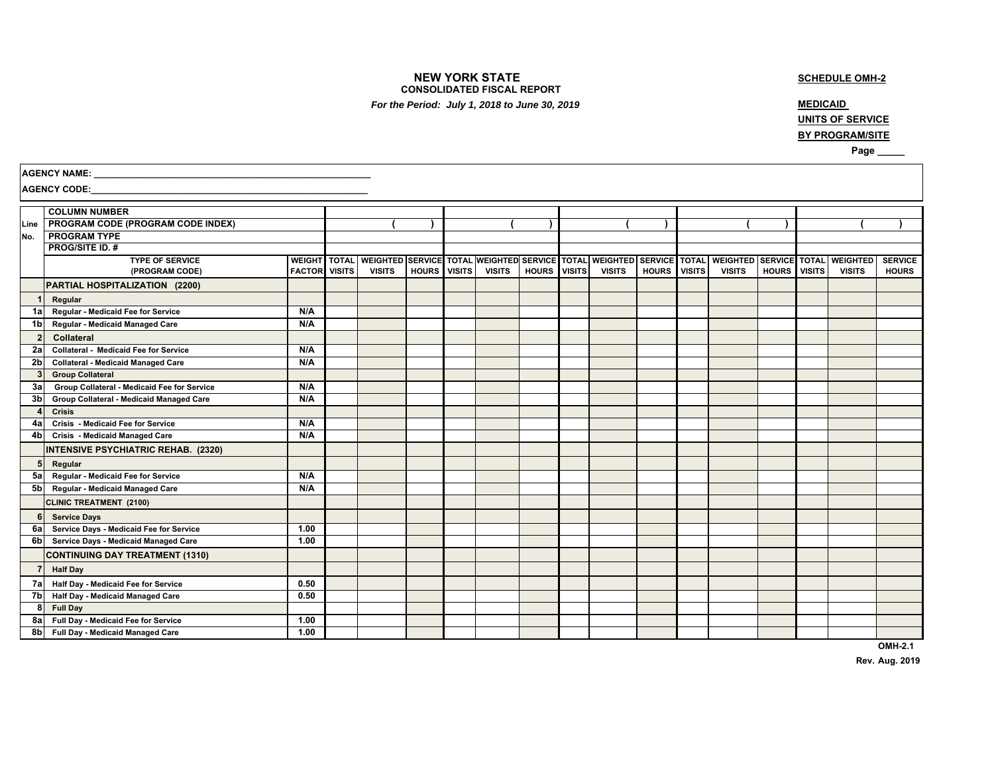#### **NEW YORK STATE CONSOLIDATED FISCAL REPORT**

## **SCHEDULE OMH-2**

 *For the Period: July 1, 2018 to June 30, 2019*

## **MEDICAID**

**UNITS OF SERVICE BY PROGRAM/SITE**

 **Page \_\_\_\_\_**

| <b>AGENCY CODE:</b><br><b>COLUMN NUMBER</b><br>Line   PROGRAM CODE (PROGRAM CODE INDEX)<br><b>PROGRAM TYPE</b><br>No.<br><b>PROG/SITE ID. #</b><br><b>TYPE OF SERVICE</b><br>WEIGHT TOTAL WEIGHTED SERVICE TOTAL WEIGHTED SERVICE TOTAL<br><b>WEIGHTED</b><br>SERVICE TOTAL<br><b>WEIGHTED</b><br><b>SERVICE TOTAL</b><br><b>WEIGHTED</b><br><b>FACTOR</b> VISITS<br><b>VISITS</b><br><b>HOURS</b><br><b>VISITS</b><br><b>VISITS</b><br><b>HOURS</b><br><b>VISITS</b><br><b>VISITS</b><br><b>HOURS</b><br><b>VISITS</b><br><b>VISITS</b><br><b>VISITS</b><br><b>VISITS</b><br>(PROGRAM CODE)<br><b>HOURS</b><br>PARTIAL HOSPITALIZATION (2200)<br>1 <sup>1</sup><br>Regular<br>Regular - Medicaid Fee for Service<br>N/A<br>1a l<br>N/A<br>1 <sub>b</sub><br>Regular - Medicaid Managed Care<br>2 <sup>1</sup><br>Collateral<br><b>Collateral - Medicaid Fee for Service</b><br>N/A<br>2a<br><b>Collateral - Medicaid Managed Care</b><br>N/A<br>2 <sub>b</sub><br>3 <sup>1</sup><br><b>Group Collateral</b><br>Group Collateral - Medicaid Fee for Service<br>N/A<br>3a<br>Group Collateral - Medicaid Managed Care<br>N/A<br>3 <sub>b</sub><br>$\overline{a}$<br><b>Crisis</b><br>N/A<br>Crisis - Medicaid Fee for Service<br>4a l<br>N/A<br>4 <sub>b</sub><br>Crisis - Medicaid Managed Care<br><b>INTENSIVE PSYCHIATRIC REHAB. (2320)</b><br>5 <sub>1</sub><br>Regular<br>Regular - Medicaid Fee for Service<br>N/A<br>5a I<br>N/A<br>5b Regular - Medicaid Managed Care<br><b>CLINIC TREATMENT (2100)</b><br>6<br><b>Service Days</b><br>Service Days - Medicaid Fee for Service<br>1.00<br>6a l<br>1.00<br>6bl<br>Service Days - Medicaid Managed Care<br><b>CONTINUING DAY TREATMENT (1310)</b><br>$\overline{7}$<br><b>Half Day</b><br>7a Half Day - Medicaid Fee for Service<br>0.50<br>0.50<br>7bl<br>Half Day - Medicaid Managed Care<br>8 <sup>1</sup><br><b>Full Day</b><br>Full Day - Medicaid Fee for Service<br>1.00<br>8a l<br>8b Full Day - Medicaid Managed Care<br>1.00 | <b>AGENCY NAME:</b> |  |  |  |  |  |  |  |                |
|---------------------------------------------------------------------------------------------------------------------------------------------------------------------------------------------------------------------------------------------------------------------------------------------------------------------------------------------------------------------------------------------------------------------------------------------------------------------------------------------------------------------------------------------------------------------------------------------------------------------------------------------------------------------------------------------------------------------------------------------------------------------------------------------------------------------------------------------------------------------------------------------------------------------------------------------------------------------------------------------------------------------------------------------------------------------------------------------------------------------------------------------------------------------------------------------------------------------------------------------------------------------------------------------------------------------------------------------------------------------------------------------------------------------------------------------------------------------------------------------------------------------------------------------------------------------------------------------------------------------------------------------------------------------------------------------------------------------------------------------------------------------------------------------------------------------------------------------------------------------------------------------------------------------------------------------------------------------------------------------|---------------------|--|--|--|--|--|--|--|----------------|
|                                                                                                                                                                                                                                                                                                                                                                                                                                                                                                                                                                                                                                                                                                                                                                                                                                                                                                                                                                                                                                                                                                                                                                                                                                                                                                                                                                                                                                                                                                                                                                                                                                                                                                                                                                                                                                                                                                                                                                                             |                     |  |  |  |  |  |  |  |                |
|                                                                                                                                                                                                                                                                                                                                                                                                                                                                                                                                                                                                                                                                                                                                                                                                                                                                                                                                                                                                                                                                                                                                                                                                                                                                                                                                                                                                                                                                                                                                                                                                                                                                                                                                                                                                                                                                                                                                                                                             |                     |  |  |  |  |  |  |  |                |
|                                                                                                                                                                                                                                                                                                                                                                                                                                                                                                                                                                                                                                                                                                                                                                                                                                                                                                                                                                                                                                                                                                                                                                                                                                                                                                                                                                                                                                                                                                                                                                                                                                                                                                                                                                                                                                                                                                                                                                                             |                     |  |  |  |  |  |  |  |                |
|                                                                                                                                                                                                                                                                                                                                                                                                                                                                                                                                                                                                                                                                                                                                                                                                                                                                                                                                                                                                                                                                                                                                                                                                                                                                                                                                                                                                                                                                                                                                                                                                                                                                                                                                                                                                                                                                                                                                                                                             |                     |  |  |  |  |  |  |  |                |
|                                                                                                                                                                                                                                                                                                                                                                                                                                                                                                                                                                                                                                                                                                                                                                                                                                                                                                                                                                                                                                                                                                                                                                                                                                                                                                                                                                                                                                                                                                                                                                                                                                                                                                                                                                                                                                                                                                                                                                                             |                     |  |  |  |  |  |  |  |                |
|                                                                                                                                                                                                                                                                                                                                                                                                                                                                                                                                                                                                                                                                                                                                                                                                                                                                                                                                                                                                                                                                                                                                                                                                                                                                                                                                                                                                                                                                                                                                                                                                                                                                                                                                                                                                                                                                                                                                                                                             |                     |  |  |  |  |  |  |  | <b>SERVICE</b> |
|                                                                                                                                                                                                                                                                                                                                                                                                                                                                                                                                                                                                                                                                                                                                                                                                                                                                                                                                                                                                                                                                                                                                                                                                                                                                                                                                                                                                                                                                                                                                                                                                                                                                                                                                                                                                                                                                                                                                                                                             |                     |  |  |  |  |  |  |  | <b>HOURS</b>   |
|                                                                                                                                                                                                                                                                                                                                                                                                                                                                                                                                                                                                                                                                                                                                                                                                                                                                                                                                                                                                                                                                                                                                                                                                                                                                                                                                                                                                                                                                                                                                                                                                                                                                                                                                                                                                                                                                                                                                                                                             |                     |  |  |  |  |  |  |  |                |
|                                                                                                                                                                                                                                                                                                                                                                                                                                                                                                                                                                                                                                                                                                                                                                                                                                                                                                                                                                                                                                                                                                                                                                                                                                                                                                                                                                                                                                                                                                                                                                                                                                                                                                                                                                                                                                                                                                                                                                                             |                     |  |  |  |  |  |  |  |                |
|                                                                                                                                                                                                                                                                                                                                                                                                                                                                                                                                                                                                                                                                                                                                                                                                                                                                                                                                                                                                                                                                                                                                                                                                                                                                                                                                                                                                                                                                                                                                                                                                                                                                                                                                                                                                                                                                                                                                                                                             |                     |  |  |  |  |  |  |  |                |
|                                                                                                                                                                                                                                                                                                                                                                                                                                                                                                                                                                                                                                                                                                                                                                                                                                                                                                                                                                                                                                                                                                                                                                                                                                                                                                                                                                                                                                                                                                                                                                                                                                                                                                                                                                                                                                                                                                                                                                                             |                     |  |  |  |  |  |  |  |                |
|                                                                                                                                                                                                                                                                                                                                                                                                                                                                                                                                                                                                                                                                                                                                                                                                                                                                                                                                                                                                                                                                                                                                                                                                                                                                                                                                                                                                                                                                                                                                                                                                                                                                                                                                                                                                                                                                                                                                                                                             |                     |  |  |  |  |  |  |  |                |
|                                                                                                                                                                                                                                                                                                                                                                                                                                                                                                                                                                                                                                                                                                                                                                                                                                                                                                                                                                                                                                                                                                                                                                                                                                                                                                                                                                                                                                                                                                                                                                                                                                                                                                                                                                                                                                                                                                                                                                                             |                     |  |  |  |  |  |  |  |                |
|                                                                                                                                                                                                                                                                                                                                                                                                                                                                                                                                                                                                                                                                                                                                                                                                                                                                                                                                                                                                                                                                                                                                                                                                                                                                                                                                                                                                                                                                                                                                                                                                                                                                                                                                                                                                                                                                                                                                                                                             |                     |  |  |  |  |  |  |  |                |
|                                                                                                                                                                                                                                                                                                                                                                                                                                                                                                                                                                                                                                                                                                                                                                                                                                                                                                                                                                                                                                                                                                                                                                                                                                                                                                                                                                                                                                                                                                                                                                                                                                                                                                                                                                                                                                                                                                                                                                                             |                     |  |  |  |  |  |  |  |                |
|                                                                                                                                                                                                                                                                                                                                                                                                                                                                                                                                                                                                                                                                                                                                                                                                                                                                                                                                                                                                                                                                                                                                                                                                                                                                                                                                                                                                                                                                                                                                                                                                                                                                                                                                                                                                                                                                                                                                                                                             |                     |  |  |  |  |  |  |  |                |
|                                                                                                                                                                                                                                                                                                                                                                                                                                                                                                                                                                                                                                                                                                                                                                                                                                                                                                                                                                                                                                                                                                                                                                                                                                                                                                                                                                                                                                                                                                                                                                                                                                                                                                                                                                                                                                                                                                                                                                                             |                     |  |  |  |  |  |  |  |                |
|                                                                                                                                                                                                                                                                                                                                                                                                                                                                                                                                                                                                                                                                                                                                                                                                                                                                                                                                                                                                                                                                                                                                                                                                                                                                                                                                                                                                                                                                                                                                                                                                                                                                                                                                                                                                                                                                                                                                                                                             |                     |  |  |  |  |  |  |  |                |
|                                                                                                                                                                                                                                                                                                                                                                                                                                                                                                                                                                                                                                                                                                                                                                                                                                                                                                                                                                                                                                                                                                                                                                                                                                                                                                                                                                                                                                                                                                                                                                                                                                                                                                                                                                                                                                                                                                                                                                                             |                     |  |  |  |  |  |  |  |                |
|                                                                                                                                                                                                                                                                                                                                                                                                                                                                                                                                                                                                                                                                                                                                                                                                                                                                                                                                                                                                                                                                                                                                                                                                                                                                                                                                                                                                                                                                                                                                                                                                                                                                                                                                                                                                                                                                                                                                                                                             |                     |  |  |  |  |  |  |  |                |
|                                                                                                                                                                                                                                                                                                                                                                                                                                                                                                                                                                                                                                                                                                                                                                                                                                                                                                                                                                                                                                                                                                                                                                                                                                                                                                                                                                                                                                                                                                                                                                                                                                                                                                                                                                                                                                                                                                                                                                                             |                     |  |  |  |  |  |  |  |                |
|                                                                                                                                                                                                                                                                                                                                                                                                                                                                                                                                                                                                                                                                                                                                                                                                                                                                                                                                                                                                                                                                                                                                                                                                                                                                                                                                                                                                                                                                                                                                                                                                                                                                                                                                                                                                                                                                                                                                                                                             |                     |  |  |  |  |  |  |  |                |
|                                                                                                                                                                                                                                                                                                                                                                                                                                                                                                                                                                                                                                                                                                                                                                                                                                                                                                                                                                                                                                                                                                                                                                                                                                                                                                                                                                                                                                                                                                                                                                                                                                                                                                                                                                                                                                                                                                                                                                                             |                     |  |  |  |  |  |  |  |                |
|                                                                                                                                                                                                                                                                                                                                                                                                                                                                                                                                                                                                                                                                                                                                                                                                                                                                                                                                                                                                                                                                                                                                                                                                                                                                                                                                                                                                                                                                                                                                                                                                                                                                                                                                                                                                                                                                                                                                                                                             |                     |  |  |  |  |  |  |  |                |
|                                                                                                                                                                                                                                                                                                                                                                                                                                                                                                                                                                                                                                                                                                                                                                                                                                                                                                                                                                                                                                                                                                                                                                                                                                                                                                                                                                                                                                                                                                                                                                                                                                                                                                                                                                                                                                                                                                                                                                                             |                     |  |  |  |  |  |  |  |                |
|                                                                                                                                                                                                                                                                                                                                                                                                                                                                                                                                                                                                                                                                                                                                                                                                                                                                                                                                                                                                                                                                                                                                                                                                                                                                                                                                                                                                                                                                                                                                                                                                                                                                                                                                                                                                                                                                                                                                                                                             |                     |  |  |  |  |  |  |  |                |
|                                                                                                                                                                                                                                                                                                                                                                                                                                                                                                                                                                                                                                                                                                                                                                                                                                                                                                                                                                                                                                                                                                                                                                                                                                                                                                                                                                                                                                                                                                                                                                                                                                                                                                                                                                                                                                                                                                                                                                                             |                     |  |  |  |  |  |  |  |                |
|                                                                                                                                                                                                                                                                                                                                                                                                                                                                                                                                                                                                                                                                                                                                                                                                                                                                                                                                                                                                                                                                                                                                                                                                                                                                                                                                                                                                                                                                                                                                                                                                                                                                                                                                                                                                                                                                                                                                                                                             |                     |  |  |  |  |  |  |  |                |
|                                                                                                                                                                                                                                                                                                                                                                                                                                                                                                                                                                                                                                                                                                                                                                                                                                                                                                                                                                                                                                                                                                                                                                                                                                                                                                                                                                                                                                                                                                                                                                                                                                                                                                                                                                                                                                                                                                                                                                                             |                     |  |  |  |  |  |  |  |                |
|                                                                                                                                                                                                                                                                                                                                                                                                                                                                                                                                                                                                                                                                                                                                                                                                                                                                                                                                                                                                                                                                                                                                                                                                                                                                                                                                                                                                                                                                                                                                                                                                                                                                                                                                                                                                                                                                                                                                                                                             |                     |  |  |  |  |  |  |  |                |
|                                                                                                                                                                                                                                                                                                                                                                                                                                                                                                                                                                                                                                                                                                                                                                                                                                                                                                                                                                                                                                                                                                                                                                                                                                                                                                                                                                                                                                                                                                                                                                                                                                                                                                                                                                                                                                                                                                                                                                                             |                     |  |  |  |  |  |  |  |                |
|                                                                                                                                                                                                                                                                                                                                                                                                                                                                                                                                                                                                                                                                                                                                                                                                                                                                                                                                                                                                                                                                                                                                                                                                                                                                                                                                                                                                                                                                                                                                                                                                                                                                                                                                                                                                                                                                                                                                                                                             |                     |  |  |  |  |  |  |  |                |
|                                                                                                                                                                                                                                                                                                                                                                                                                                                                                                                                                                                                                                                                                                                                                                                                                                                                                                                                                                                                                                                                                                                                                                                                                                                                                                                                                                                                                                                                                                                                                                                                                                                                                                                                                                                                                                                                                                                                                                                             |                     |  |  |  |  |  |  |  |                |
|                                                                                                                                                                                                                                                                                                                                                                                                                                                                                                                                                                                                                                                                                                                                                                                                                                                                                                                                                                                                                                                                                                                                                                                                                                                                                                                                                                                                                                                                                                                                                                                                                                                                                                                                                                                                                                                                                                                                                                                             |                     |  |  |  |  |  |  |  |                |
|                                                                                                                                                                                                                                                                                                                                                                                                                                                                                                                                                                                                                                                                                                                                                                                                                                                                                                                                                                                                                                                                                                                                                                                                                                                                                                                                                                                                                                                                                                                                                                                                                                                                                                                                                                                                                                                                                                                                                                                             |                     |  |  |  |  |  |  |  |                |

**OMH-2.1 Rev. Aug. 2019**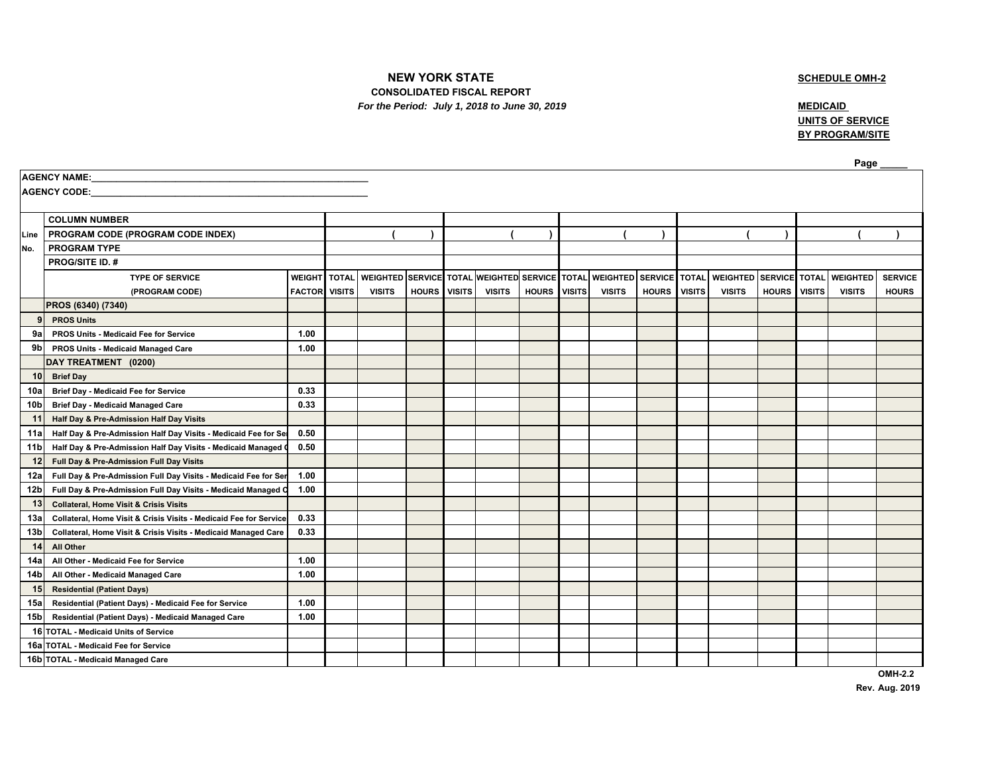# **NEW YORK STATE**

## **SCHEDULE OMH-2**

 **CONSOLIDATED FISCAL REPORT** *For the Period: July 1, 2018 to June 30, 2019* **MEDICAID MEDICAID** 

**UNITS OF SERVICE BY PROGRAM/SITE**

|                 | Page                                                              |                      |              |                                               |              |               |               |              |               |                 |               |               |                 |              |               |                        |                |
|-----------------|-------------------------------------------------------------------|----------------------|--------------|-----------------------------------------------|--------------|---------------|---------------|--------------|---------------|-----------------|---------------|---------------|-----------------|--------------|---------------|------------------------|----------------|
|                 | AGENCY NAME:                                                      |                      |              |                                               |              |               |               |              |               |                 |               |               |                 |              |               |                        |                |
|                 | <b>AGENCY CODE:</b>                                               |                      |              |                                               |              |               |               |              |               |                 |               |               |                 |              |               |                        |                |
|                 |                                                                   |                      |              |                                               |              |               |               |              |               |                 |               |               |                 |              |               |                        |                |
|                 | <b>COLUMN NUMBER</b>                                              |                      |              |                                               |              |               |               |              |               |                 |               |               |                 |              |               |                        |                |
|                 | Line   PROGRAM CODE (PROGRAM CODE INDEX)                          |                      |              |                                               |              |               |               |              |               |                 |               |               |                 |              |               |                        |                |
| No.             | <b>PROGRAM TYPE</b>                                               |                      |              |                                               |              |               |               |              |               |                 |               |               |                 |              |               |                        |                |
|                 | <b>PROG/SITE ID. #</b>                                            |                      |              |                                               |              |               |               |              |               |                 |               |               |                 |              |               |                        |                |
|                 | <b>TYPE OF SERVICE</b>                                            | <b>WEIGHT</b>        | <b>TOTAL</b> | WEIGHTED SERVICE TOTAL WEIGHTED SERVICE TOTAL |              |               |               |              |               | <b>WEIGHTED</b> | SERVICE TOTAL |               | <b>WEIGHTED</b> |              |               | SERVICE TOTAL WEIGHTED | <b>SERVICE</b> |
|                 | (PROGRAM CODE)                                                    | <b>FACTOR</b> VISITS |              | <b>VISITS</b>                                 | <b>HOURS</b> | <b>VISITS</b> | <b>VISITS</b> | <b>HOURS</b> | <b>VISITS</b> | <b>VISITS</b>   | <b>HOURS</b>  | <b>VISITS</b> | <b>VISITS</b>   | <b>HOURS</b> | <b>VISITS</b> | <b>VISITS</b>          | <b>HOURS</b>   |
|                 | PROS (6340) (7340)                                                |                      |              |                                               |              |               |               |              |               |                 |               |               |                 |              |               |                        |                |
| 9               | <b>PROS Units</b>                                                 |                      |              |                                               |              |               |               |              |               |                 |               |               |                 |              |               |                        |                |
| 9a              | PROS Units - Medicaid Fee for Service                             | 1.00                 |              |                                               |              |               |               |              |               |                 |               |               |                 |              |               |                        |                |
| 9bl             | PROS Units - Medicaid Managed Care                                | 1.00                 |              |                                               |              |               |               |              |               |                 |               |               |                 |              |               |                        |                |
|                 | DAY TREATMENT (0200)                                              |                      |              |                                               |              |               |               |              |               |                 |               |               |                 |              |               |                        |                |
| 10              | <b>Brief Day</b>                                                  |                      |              |                                               |              |               |               |              |               |                 |               |               |                 |              |               |                        |                |
| 10a             | <b>Brief Day - Medicaid Fee for Service</b>                       | 0.33                 |              |                                               |              |               |               |              |               |                 |               |               |                 |              |               |                        |                |
| 10 <sub>b</sub> | <b>Brief Day - Medicaid Managed Care</b>                          | 0.33                 |              |                                               |              |               |               |              |               |                 |               |               |                 |              |               |                        |                |
| 11              | Half Day & Pre-Admission Half Day Visits                          |                      |              |                                               |              |               |               |              |               |                 |               |               |                 |              |               |                        |                |
| 11a             | Half Day & Pre-Admission Half Day Visits - Medicaid Fee for Set   | 0.50                 |              |                                               |              |               |               |              |               |                 |               |               |                 |              |               |                        |                |
| 11b             | Half Day & Pre-Admission Half Day Visits - Medicaid Managed O     | 0.50                 |              |                                               |              |               |               |              |               |                 |               |               |                 |              |               |                        |                |
| 12              | Full Day & Pre-Admission Full Day Visits                          |                      |              |                                               |              |               |               |              |               |                 |               |               |                 |              |               |                        |                |
| 12a             | Full Day & Pre-Admission Full Day Visits - Medicaid Fee for Ser   | 1.00                 |              |                                               |              |               |               |              |               |                 |               |               |                 |              |               |                        |                |
| 12b             | Full Day & Pre-Admission Full Day Visits - Medicaid Managed C     | 1.00                 |              |                                               |              |               |               |              |               |                 |               |               |                 |              |               |                        |                |
| 13              | <b>Collateral, Home Visit &amp; Crisis Visits</b>                 |                      |              |                                               |              |               |               |              |               |                 |               |               |                 |              |               |                        |                |
| 13а             | Collateral, Home Visit & Crisis Visits - Medicaid Fee for Service | 0.33                 |              |                                               |              |               |               |              |               |                 |               |               |                 |              |               |                        |                |
| 13b             | Collateral, Home Visit & Crisis Visits - Medicaid Managed Care    | 0.33                 |              |                                               |              |               |               |              |               |                 |               |               |                 |              |               |                        |                |
| 14              | All Other                                                         |                      |              |                                               |              |               |               |              |               |                 |               |               |                 |              |               |                        |                |
| 14a             | All Other - Medicaid Fee for Service                              | 1.00                 |              |                                               |              |               |               |              |               |                 |               |               |                 |              |               |                        |                |
| 14b             | All Other - Medicaid Managed Care                                 | 1.00                 |              |                                               |              |               |               |              |               |                 |               |               |                 |              |               |                        |                |
| 15              | <b>Residential (Patient Days)</b>                                 |                      |              |                                               |              |               |               |              |               |                 |               |               |                 |              |               |                        |                |
| 15a             | Residential (Patient Days) - Medicaid Fee for Service             | 1.00                 |              |                                               |              |               |               |              |               |                 |               |               |                 |              |               |                        |                |
| 15 <sub>b</sub> | Residential (Patient Days) - Medicaid Managed Care                | 1.00                 |              |                                               |              |               |               |              |               |                 |               |               |                 |              |               |                        |                |
|                 | 16 TOTAL - Medicaid Units of Service                              |                      |              |                                               |              |               |               |              |               |                 |               |               |                 |              |               |                        |                |
|                 | 16a TOTAL - Medicaid Fee for Service                              |                      |              |                                               |              |               |               |              |               |                 |               |               |                 |              |               |                        |                |
|                 | 16b TOTAL - Medicaid Managed Care                                 |                      |              |                                               |              |               |               |              |               |                 |               |               |                 |              |               |                        |                |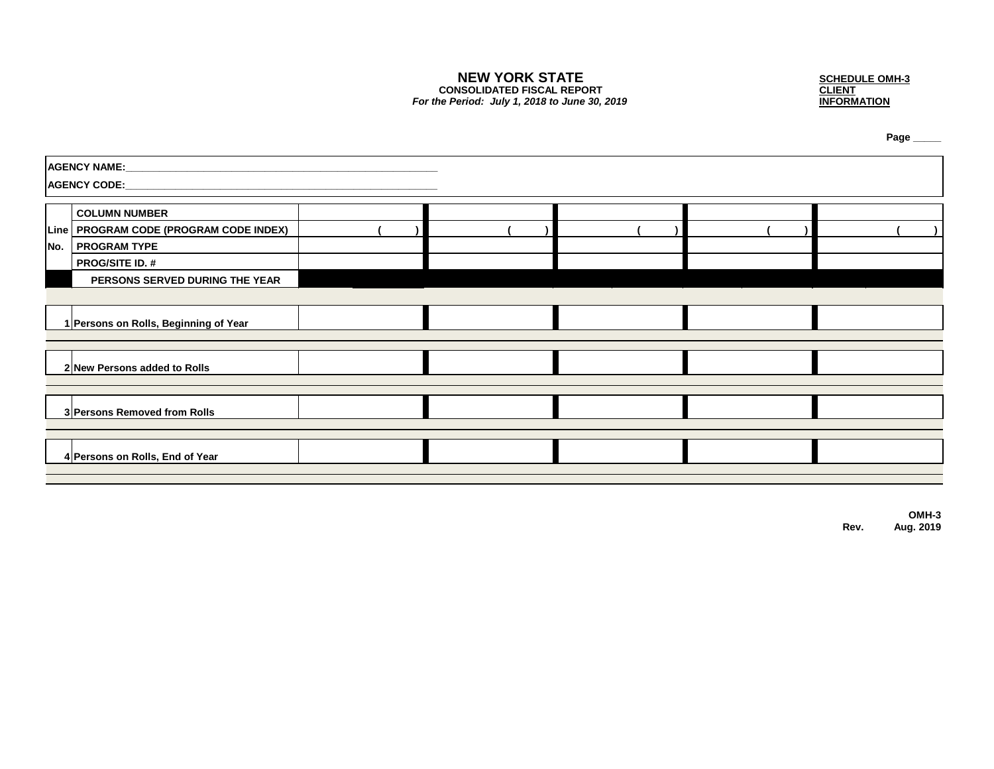**CONSOLIDATED FISCAL REPORT** *For the Period: July 1, 2018 to June 30, 2019* 

**NEW YORK STATE**<br>
NSOLIDATED FISCAL REPORT<br>
Period: July 1, 2018 to June 30, 2019<br>
Period: July 1, 2018 to June 30, 2019

**Page \_\_\_\_\_**

| AGENCY NAME:                             |  |  |  |
|------------------------------------------|--|--|--|
|                                          |  |  |  |
| <b>COLUMN NUMBER</b>                     |  |  |  |
| Line   PROGRAM CODE (PROGRAM CODE INDEX) |  |  |  |
| No.   PROGRAM TYPE                       |  |  |  |
| <b>PROG/SITE ID. #</b>                   |  |  |  |
| PERSONS SERVED DURING THE YEAR           |  |  |  |
|                                          |  |  |  |
| 1 Persons on Rolls, Beginning of Year    |  |  |  |
|                                          |  |  |  |
| 2 New Persons added to Rolls             |  |  |  |
|                                          |  |  |  |
| 3 Persons Removed from Rolls             |  |  |  |
|                                          |  |  |  |
| 4 Persons on Rolls, End of Year          |  |  |  |
|                                          |  |  |  |

**OMH-3 Rev. Aug. 2019**